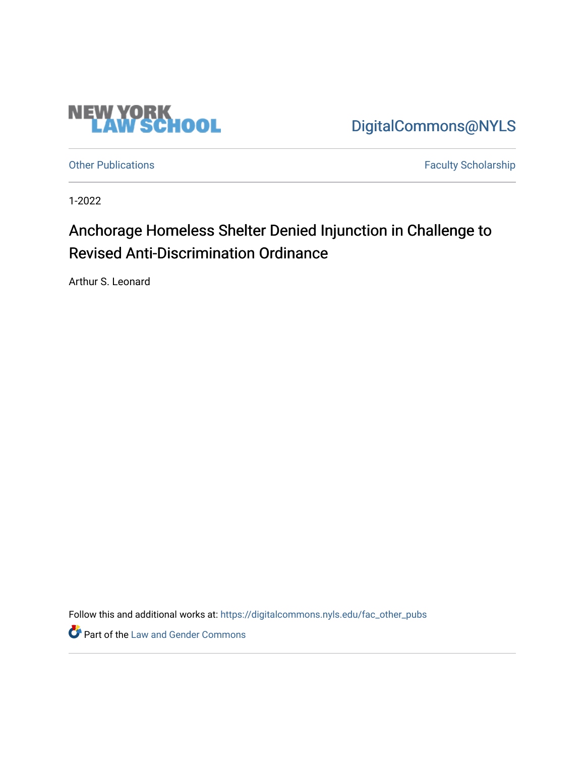

[DigitalCommons@NYLS](https://digitalcommons.nyls.edu/) 

[Other Publications](https://digitalcommons.nyls.edu/fac_other_pubs) **Faculty Scholarship Faculty Scholarship** 

1-2022

## Anchorage Homeless Shelter Denied Injunction in Challenge to Revised Anti-Discrimination Ordinance

Arthur S. Leonard

Follow this and additional works at: [https://digitalcommons.nyls.edu/fac\\_other\\_pubs](https://digitalcommons.nyls.edu/fac_other_pubs?utm_source=digitalcommons.nyls.edu%2Ffac_other_pubs%2F794&utm_medium=PDF&utm_campaign=PDFCoverPages)

**Part of the Law and Gender Commons**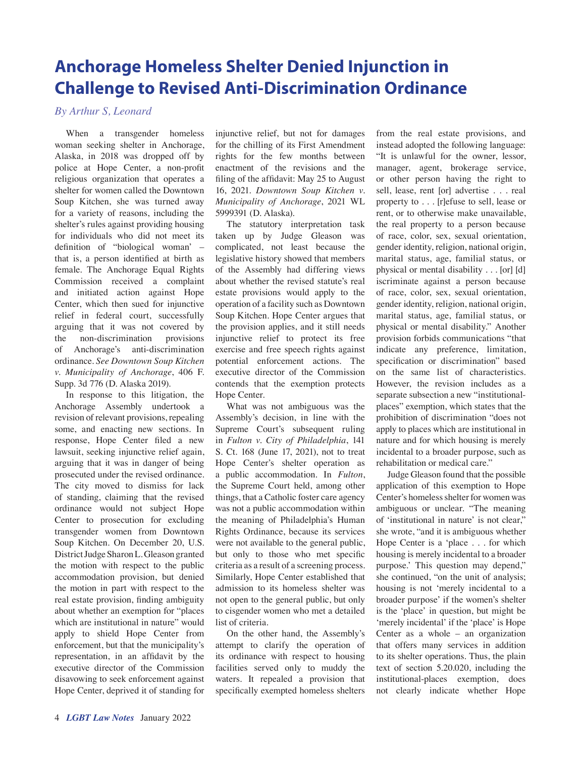## **Anchorage Homeless Shelter Denied Injunction in Challenge to Revised Anti-Discrimination Ordinance**

*By Arthur S, Leonard*

When a transgender homeless woman seeking shelter in Anchorage, Alaska, in 2018 was dropped off by police at Hope Center, a non-profit religious organization that operates a shelter for women called the Downtown Soup Kitchen, she was turned away for a variety of reasons, including the shelter's rules against providing housing for individuals who did not meet its definition of "biological woman' – that is, a person identified at birth as female. The Anchorage Equal Rights Commission received a complaint and initiated action against Hope Center, which then sued for injunctive relief in federal court, successfully arguing that it was not covered by the non-discrimination provisions of Anchorage's anti-discrimination ordinance. *See Downtown Soup Kitchen v. Municipality of Anchorage*, 406 F. Supp. 3d 776 (D. Alaska 2019).

In response to this litigation, the Anchorage Assembly undertook a revision of relevant provisions, repealing some, and enacting new sections. In response, Hope Center filed a new lawsuit, seeking injunctive relief again, arguing that it was in danger of being prosecuted under the revised ordinance. The city moved to dismiss for lack of standing, claiming that the revised ordinance would not subject Hope Center to prosecution for excluding transgender women from Downtown Soup Kitchen. On December 20, U.S. District Judge Sharon L. Gleason granted the motion with respect to the public accommodation provision, but denied the motion in part with respect to the real estate provision, finding ambiguity about whether an exemption for "places which are institutional in nature" would apply to shield Hope Center from enforcement, but that the municipality's representation, in an affidavit by the executive director of the Commission disavowing to seek enforcement against Hope Center, deprived it of standing for

injunctive relief, but not for damages for the chilling of its First Amendment rights for the few months between enactment of the revisions and the filing of the affidavit: May 25 to August 16, 2021. *Downtown Soup Kitchen v. Municipality of Anchorage*, 2021 WL 5999391 (D. Alaska).

The statutory interpretation task taken up by Judge Gleason was complicated, not least because the legislative history showed that members of the Assembly had differing views about whether the revised statute's real estate provisions would apply to the operation of a facility such as Downtown Soup Kitchen. Hope Center argues that the provision applies, and it still needs injunctive relief to protect its free exercise and free speech rights against potential enforcement actions. The executive director of the Commission contends that the exemption protects Hope Center.

What was not ambiguous was the Assembly's decision, in line with the Supreme Court's subsequent ruling in *Fulton v. City of Philadelphia*, 141 S. Ct. 168 (June 17, 2021), not to treat Hope Center's shelter operation as a public accommodation. In *Fulton*, the Supreme Court held, among other things, that a Catholic foster care agency was not a public accommodation within the meaning of Philadelphia's Human Rights Ordinance, because its services were not available to the general public, but only to those who met specific criteria as a result of a screening process. Similarly, Hope Center established that admission to its homeless shelter was not open to the general public, but only to cisgender women who met a detailed list of criteria.

On the other hand, the Assembly's attempt to clarify the operation of its ordinance with respect to housing facilities served only to muddy the waters. It repealed a provision that specifically exempted homeless shelters

from the real estate provisions, and instead adopted the following language: "It is unlawful for the owner, lessor, manager, agent, brokerage service, or other person having the right to sell, lease, rent [or] advertise . . . real property to . . . [r]efuse to sell, lease or rent, or to otherwise make unavailable, the real property to a person because of race, color, sex, sexual orientation, gender identity, religion, national origin, marital status, age, familial status, or physical or mental disability . . . [or] [d] iscriminate against a person because of race, color, sex, sexual orientation, gender identity, religion, national origin, marital status, age, familial status, or physical or mental disability." Another provision forbids communications "that indicate any preference, limitation, specification or discrimination" based on the same list of characteristics. However, the revision includes as a separate subsection a new "institutionalplaces" exemption, which states that the prohibition of discrimination "does not apply to places which are institutional in nature and for which housing is merely incidental to a broader purpose, such as rehabilitation or medical care."

Judge Gleason found that the possible application of this exemption to Hope Center's homeless shelter for women was ambiguous or unclear. "The meaning of 'institutional in nature' is not clear," she wrote, "and it is ambiguous whether Hope Center is a 'place . . . for which housing is merely incidental to a broader purpose.' This question may depend," she continued, "on the unit of analysis; housing is not 'merely incidental to a broader purpose' if the women's shelter is the 'place' in question, but might be 'merely incidental' if the 'place' is Hope Center as a whole – an organization that offers many services in addition to its shelter operations. Thus, the plain text of section 5.20.020, including the institutional-places exemption, does not clearly indicate whether Hope